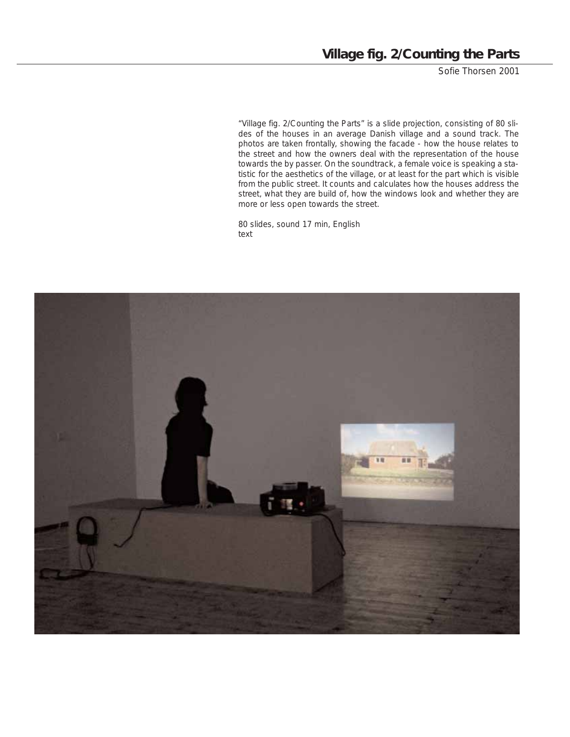Sofie Thorsen 2001

"Village fig. 2/Counting the Parts" is a slide projection, consisting of 80 slides of the houses in an average Danish village and a sound track. The photos are taken frontally, showing the facade - how the house relates to the street and how the owners deal with the representation of the house towards the by passer. On the soundtrack, a female voice is speaking a statistic for the aesthetics of the village, or at least for the part which is visible from the public street. It counts and calculates how the houses address the street, what they are build of, how the windows look and whether they are more or less open towards the street.

80 slides, sound 17 min, English text

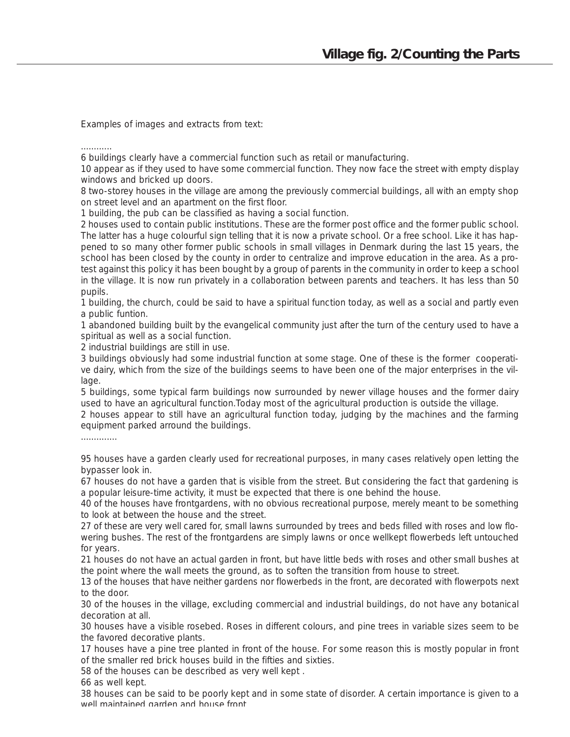Examples of images and extracts from text:

............

6 buildings clearly have a commercial function such as retail or manufacturing.

10 appear as if they used to have some commercial function. They now face the street with empty display windows and bricked up doors.

8 two-storey houses in the village are among the previously commercial buildings, all with an empty shop on street level and an apartment on the first floor.

1 building, the pub can be classified as having a social function.

2 houses used to contain public institutions. These are the former post office and the former public school. The latter has a huge colourful sign telling that it is now a private school. Or a free school. Like it has happened to so many other former public schools in small villages in Denmark during the last 15 years, the school has been closed by the county in order to centralize and improve education in the area. As a protest against this policy it has been bought by a group of parents in the community in order to keep a school in the village. It is now run privately in a collaboration between parents and teachers. It has less than 50 pupils.

1 building, the church, could be said to have a spiritual function today, as well as a social and partly even a public funtion.

1 abandoned building built by the evangelical community just after the turn of the century used to have a spiritual as well as a social function.

2 industrial buildings are still in use.

3 buildings obviously had some industrial function at some stage. One of these is the former cooperative dairy, which from the size of the buildings seems to have been one of the major enterprises in the village.

5 buildings, some typical farm buildings now surrounded by newer village houses and the former dairy used to have an agricultural function.Today most of the agricultural production is outside the village.

2 houses appear to still have an agricultural function today, judging by the machines and the farming equipment parked arround the buildings.

..............

95 houses have a garden clearly used for recreational purposes, in many cases relatively open letting the bypasser look in.

67 houses do not have a garden that is visible from the street. But considering the fact that gardening is a popular leisure-time activity, it must be expected that there is one behind the house.

40 of the houses have frontgardens, with no obvious recreational purpose, merely meant to be something to look at between the house and the street.

27 of these are very well cared for, small lawns surrounded by trees and beds filled with roses and low flowering bushes. The rest of the frontgardens are simply lawns or once wellkept flowerbeds left untouched for years.

21 houses do not have an actual garden in front, but have little beds with roses and other small bushes at the point where the wall meets the ground, as to soften the transition from house to street.

13 of the houses that have neither gardens nor flowerbeds in the front, are decorated with flowerpots next to the door.

30 of the houses in the village, excluding commercial and industrial buildings, do not have any botanical decoration at all.

30 houses have a visible rosebed. Roses in different colours, and pine trees in variable sizes seem to be the favored decorative plants.

17 houses have a pine tree planted in front of the house. For some reason this is mostly popular in front of the smaller red brick houses build in the fifties and sixties.

58 of the houses can be described as very well kept .

66 as well kept.

38 houses can be said to be poorly kept and in some state of disorder. A certain importance is given to a well maintained garden and house front